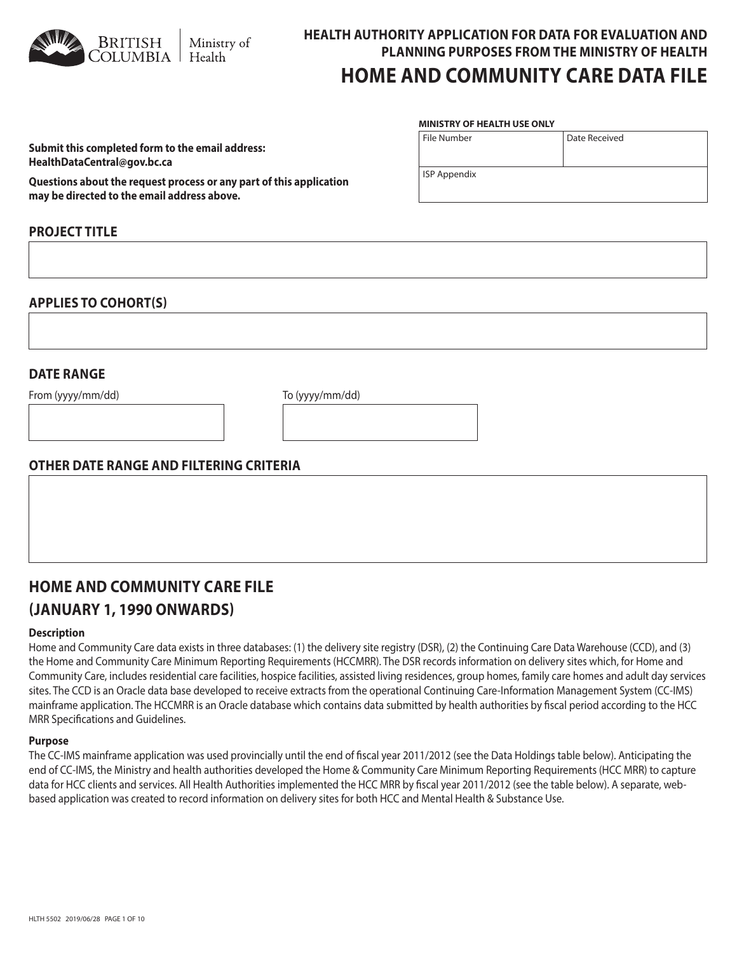HLTH 5502 2019/06/28 PAGE 1 OF 10

## stry of th

# **HEALTH AUTHORITY APPLICATION FOR DATA FOR EVALUATION AND PLANNING PURPOSES FROM THE MINISTRY OF HEALTH HOME AND COMMUNITY CARE DATA FILE**

Date Received

#### File Number **MINISTRY OF HEALTH USE ONLY**

ISP Appendix

**Submit this completed form to the email address: HealthDataCentral@gov.bc.ca** 

**Questions about the request process or any part of this application may be directed to the email address above.**

## **PROJECT TITLE**

## **APPLIES TO COHORT(S)**

## **DATE RANGE**

From (yyyy/mm/dd) To (yyyy/mm/dd)

## **OTHER DATE RANGE AND FILTERING CRITERIA**

# **HOME AND COMMUNITY CARE FILE (JANUARY 1, 1990 ONWARDS)**

#### **Description**

Home and Community Care data exists in three databases: (1) the delivery site registry (DSR), (2) the Continuing Care Data Warehouse (CCD), and (3) the Home and Community Care Minimum Reporting Requirements (HCCMRR). The DSR records information on delivery sites which, for Home and Community Care, includes residential care facilities, hospice facilities, assisted living residences, group homes, family care homes and adult day services sites. The CCD is an Oracle data base developed to receive extracts from the operational Continuing Care-Information Management System (CC-IMS) mainframe application. The HCCMRR is an Oracle database which contains data submitted by health authorities by fiscal period according to the HCC MRR Specifications and Guidelines.

#### **Purpose**

The CC-IMS mainframe application was used provincially until the end of fiscal year 2011/2012 (see the Data Holdings table below). Anticipating the end of CC-IMS, the Ministry and health authorities developed the Home & Community Care Minimum Reporting Requirements (HCC MRR) to capture data for HCC clients and services. All Health Authorities implemented the HCC MRR by fiscal year 2011/2012 (see the table below). A separate, webbased application was created to record information on delivery sites for both HCC and Mental Health & Substance Use.

| WWW | <b>BRITISH</b><br><b>COLUMBIA</b> | Mini<br>  Heal |
|-----|-----------------------------------|----------------|
|     |                                   |                |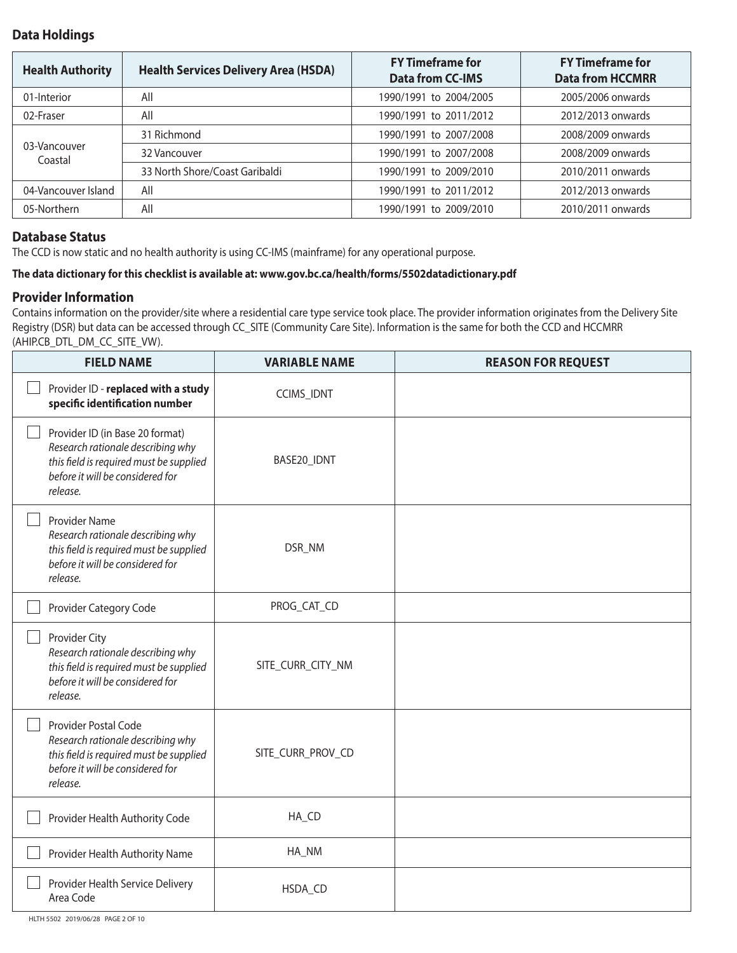## **Data Holdings**

| <b>Health Authority</b> | <b>Health Services Delivery Area (HSDA)</b> | <b>FY Timeframe for</b><br><b>Data from CC-IMS</b> | <b>FY Timeframe for</b><br><b>Data from HCCMRR</b> |
|-------------------------|---------------------------------------------|----------------------------------------------------|----------------------------------------------------|
| 01-Interior             | All                                         | 1990/1991 to 2004/2005                             | 2005/2006 onwards                                  |
| 02-Fraser               | All                                         | 1990/1991 to 2011/2012                             | 2012/2013 onwards                                  |
|                         | 31 Richmond                                 | 1990/1991 to 2007/2008                             | 2008/2009 onwards                                  |
| 03-Vancouver<br>Coastal | 32 Vancouver                                | 1990/1991 to 2007/2008                             | 2008/2009 onwards                                  |
|                         | 33 North Shore/Coast Garibaldi              | 1990/1991 to 2009/2010                             | 2010/2011 onwards                                  |
| 04-Vancouver Island     | All                                         | 1990/1991 to 2011/2012                             | 2012/2013 onwards                                  |
| 05-Northern             | All                                         | 1990/1991 to 2009/2010                             | 2010/2011 onwards                                  |

## **Database Status**

The CCD is now static and no health authority is using CC-IMS (mainframe) for any operational purpose.

### **The data dictionary for this checklist is available at: www.gov.bc.ca/health/forms/5502datadictionary.pdf**

## **Provider Information**

Contains information on the provider/site where a residential care type service took place. The provider information originates from the Delivery Site Registry (DSR) but data can be accessed through CC\_SITE (Community Care Site). Information is the same for both the CCD and HCCMRR (AHIP.CB\_DTL\_DM\_CC\_SITE\_VW).

| <b>FIELD NAME</b>                                                                                                                                               | <b>VARIABLE NAME</b> | <b>REASON FOR REQUEST</b> |
|-----------------------------------------------------------------------------------------------------------------------------------------------------------------|----------------------|---------------------------|
| Provider ID - replaced with a study<br>specific identification number                                                                                           | CCIMS_IDNT           |                           |
| Provider ID (in Base 20 format)<br>Research rationale describing why<br>this field is required must be supplied<br>before it will be considered for<br>release. | BASE20_IDNT          |                           |
| Provider Name<br>Research rationale describing why<br>this field is required must be supplied<br>before it will be considered for<br>release.                   | DSR_NM               |                           |
| Provider Category Code                                                                                                                                          | PROG_CAT_CD          |                           |
| Provider City<br>Research rationale describing why<br>this field is required must be supplied<br>before it will be considered for<br>release.                   | SITE_CURR_CITY_NM    |                           |
| Provider Postal Code<br>Research rationale describing why<br>this field is required must be supplied<br>before it will be considered for<br>release.            | SITE_CURR_PROV_CD    |                           |
| Provider Health Authority Code                                                                                                                                  | HA_CD                |                           |
| Provider Health Authority Name                                                                                                                                  | HA_NM                |                           |
| Provider Health Service Delivery<br>Area Code                                                                                                                   | HSDA_CD              |                           |

HLTH 5502 2019/06/28 PAGE 2 OF 10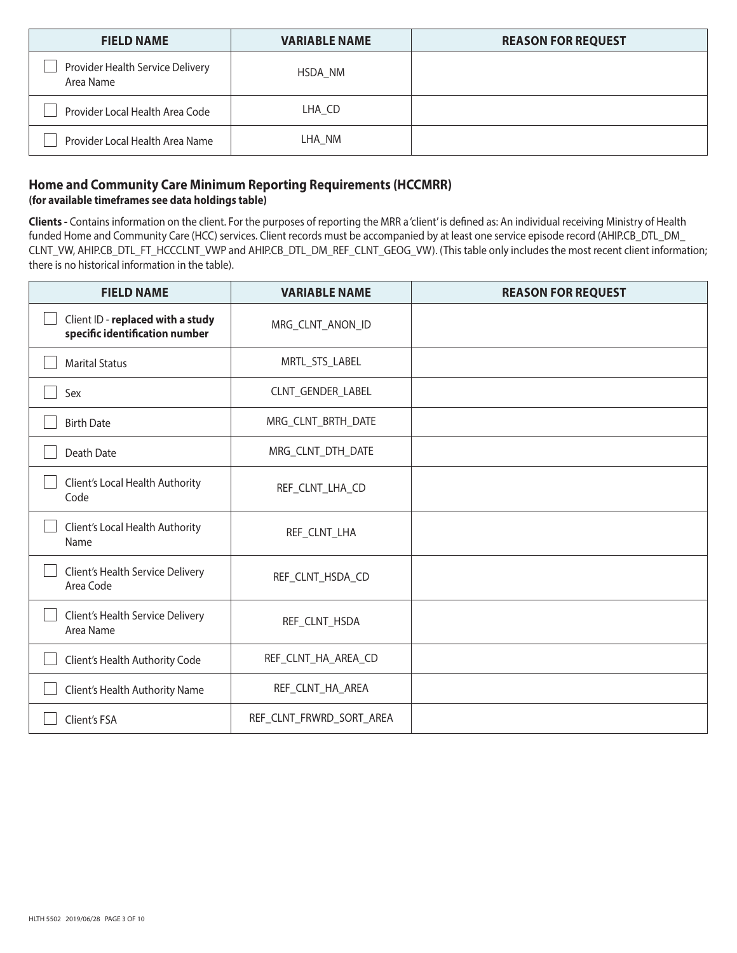| <b>FIELD NAME</b>                             | <b>VARIABLE NAME</b> | <b>REASON FOR REQUEST</b> |
|-----------------------------------------------|----------------------|---------------------------|
| Provider Health Service Delivery<br>Area Name | HSDA NM              |                           |
| Provider Local Health Area Code               | LHA CD               |                           |
| Provider Local Health Area Name               | LHA NM               |                           |

## **Home and Community Care Minimum Reporting Requirements (HCCMRR) (for available timeframes see data holdings table)**

**Clients -** Contains information on the client. For the purposes of reporting the MRR a 'client' is defined as: An individual receiving Ministry of Health funded Home and Community Care (HCC) services. Client records must be accompanied by at least one service episode record (AHIP.CB\_DTL\_DM\_ CLNT\_VW, AHIP.CB\_DTL\_FT\_HCCCLNT\_VWP and AHIP.CB\_DTL\_DM\_REF\_CLNT\_GEOG\_VW). (This table only includes the most recent client information; there is no historical information in the table).

| <b>FIELD NAME</b>                                                   | <b>VARIABLE NAME</b>     | <b>REASON FOR REQUEST</b> |
|---------------------------------------------------------------------|--------------------------|---------------------------|
| Client ID - replaced with a study<br>specific identification number | MRG_CLNT_ANON_ID         |                           |
| <b>Marital Status</b>                                               | MRTL_STS_LABEL           |                           |
| Sex                                                                 | CLNT_GENDER_LABEL        |                           |
| <b>Birth Date</b>                                                   | MRG_CLNT_BRTH_DATE       |                           |
| <b>Death Date</b>                                                   | MRG_CLNT_DTH_DATE        |                           |
| Client's Local Health Authority<br>Code                             | REF_CLNT_LHA_CD          |                           |
| Client's Local Health Authority<br>Name                             | REF_CLNT_LHA             |                           |
| Client's Health Service Delivery<br>Area Code                       | REF_CLNT_HSDA_CD         |                           |
| Client's Health Service Delivery<br>Area Name                       | REF_CLNT_HSDA            |                           |
| Client's Health Authority Code                                      | REF_CLNT_HA_AREA_CD      |                           |
| Client's Health Authority Name                                      | REF_CLNT_HA_AREA         |                           |
| Client's FSA                                                        | REF_CLNT_FRWRD_SORT_AREA |                           |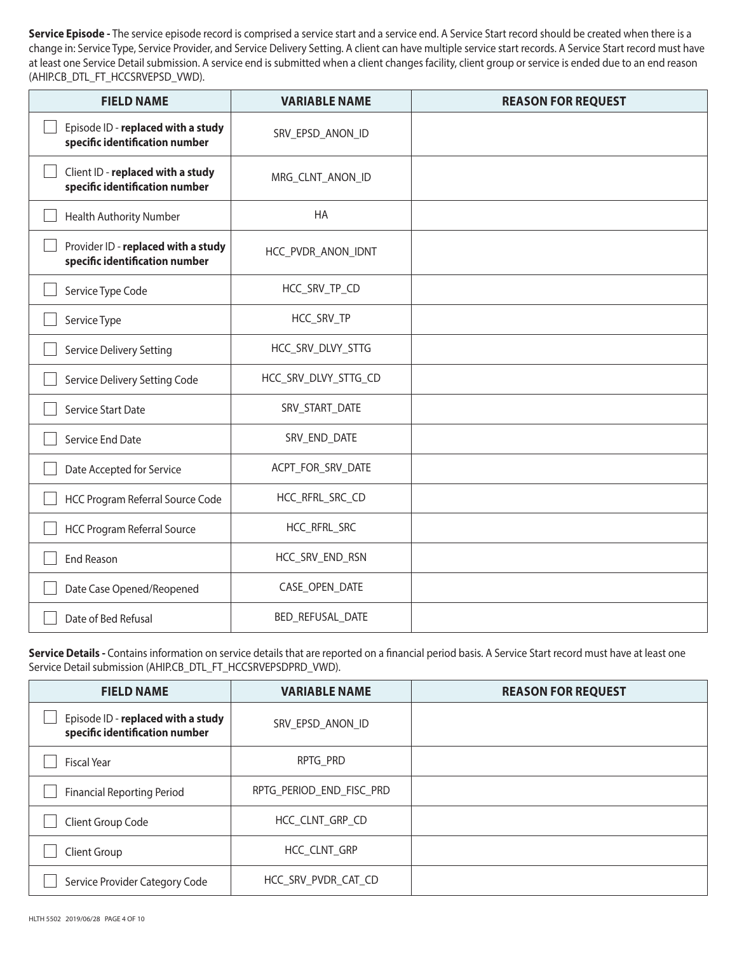Service Episode - The service episode record is comprised a service start and a service end. A Service Start record should be created when there is a change in: Service Type, Service Provider, and Service Delivery Setting. A client can have multiple service start records. A Service Start record must have at least one Service Detail submission. A service end is submitted when a client changes facility, client group or service is ended due to an end reason (AHIP.CB\_DTL\_FT\_HCCSRVEPSD\_VWD).

| <b>FIELD NAME</b>                                                     | <b>VARIABLE NAME</b> | <b>REASON FOR REQUEST</b> |
|-----------------------------------------------------------------------|----------------------|---------------------------|
| Episode ID - replaced with a study<br>specific identification number  | SRV_EPSD_ANON_ID     |                           |
| Client ID - replaced with a study<br>specific identification number   | MRG_CLNT_ANON_ID     |                           |
| <b>Health Authority Number</b>                                        | HA                   |                           |
| Provider ID - replaced with a study<br>specific identification number | HCC_PVDR_ANON_IDNT   |                           |
| Service Type Code                                                     | HCC_SRV_TP_CD        |                           |
| Service Type                                                          | HCC_SRV_TP           |                           |
| Service Delivery Setting                                              | HCC_SRV_DLVY_STTG    |                           |
| Service Delivery Setting Code                                         | HCC_SRV_DLVY_STTG_CD |                           |
| <b>Service Start Date</b>                                             | SRV_START_DATE       |                           |
| Service End Date                                                      | SRV_END_DATE         |                           |
| Date Accepted for Service                                             | ACPT_FOR_SRV_DATE    |                           |
| HCC Program Referral Source Code                                      | HCC_RFRL_SRC_CD      |                           |
| <b>HCC Program Referral Source</b>                                    | HCC_RFRL_SRC         |                           |
| <b>End Reason</b>                                                     | HCC_SRV_END_RSN      |                           |
| Date Case Opened/Reopened                                             | CASE_OPEN_DATE       |                           |
| Date of Bed Refusal                                                   | BED_REFUSAL_DATE     |                           |

Service Details - Contains information on service details that are reported on a financial period basis. A Service Start record must have at least one Service Detail submission (AHIP.CB\_DTL\_FT\_HCCSRVEPSDPRD\_VWD).

| <b>FIELD NAME</b>                                                    | <b>VARIABLE NAME</b>     | <b>REASON FOR REQUEST</b> |
|----------------------------------------------------------------------|--------------------------|---------------------------|
| Episode ID - replaced with a study<br>specific identification number | SRV_EPSD_ANON_ID         |                           |
| <b>Fiscal Year</b>                                                   | RPTG PRD                 |                           |
| <b>Financial Reporting Period</b>                                    | RPTG PERIOD END FISC PRD |                           |
| Client Group Code                                                    | HCC_CLNT_GRP_CD          |                           |
| Client Group                                                         | HCC CLNT GRP             |                           |
| Service Provider Category Code                                       | HCC SRV PVDR CAT CD      |                           |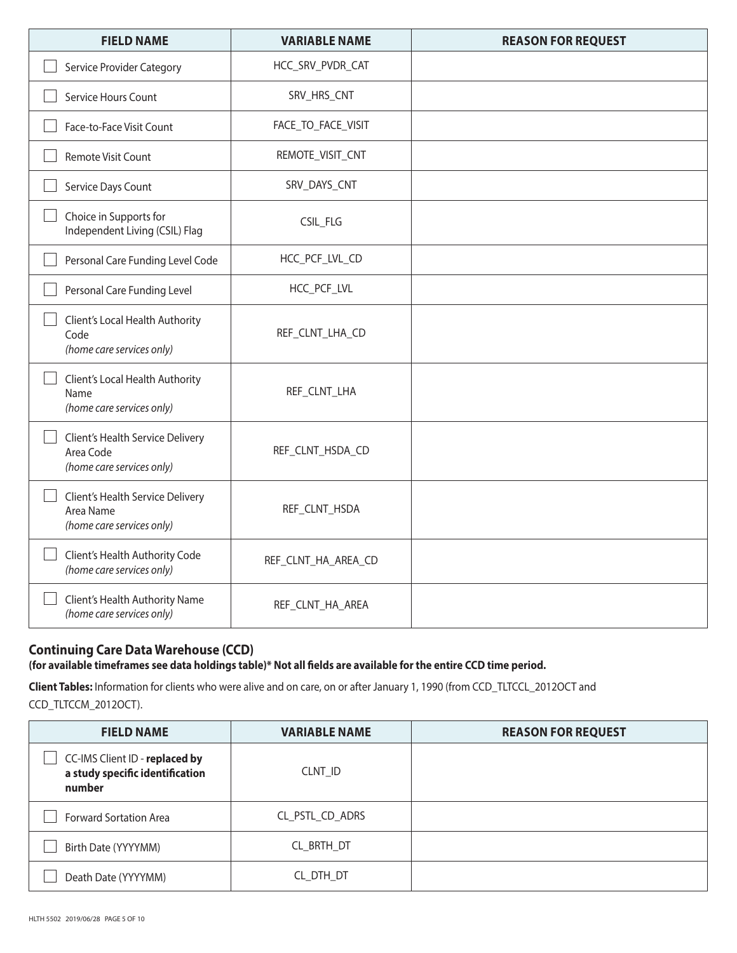| <b>FIELD NAME</b>                                                          | <b>VARIABLE NAME</b> | <b>REASON FOR REQUEST</b> |
|----------------------------------------------------------------------------|----------------------|---------------------------|
| Service Provider Category                                                  | HCC_SRV_PVDR_CAT     |                           |
| Service Hours Count                                                        | SRV_HRS_CNT          |                           |
| Face-to-Face Visit Count                                                   | FACE_TO_FACE_VISIT   |                           |
| Remote Visit Count                                                         | REMOTE_VISIT_CNT     |                           |
| Service Days Count                                                         | SRV_DAYS_CNT         |                           |
| Choice in Supports for<br>Independent Living (CSIL) Flag                   | CSIL_FLG             |                           |
| Personal Care Funding Level Code                                           | HCC_PCF_LVL_CD       |                           |
| Personal Care Funding Level                                                | HCC_PCF_LVL          |                           |
| Client's Local Health Authority<br>Code<br>(home care services only)       | REF_CLNT_LHA_CD      |                           |
| Client's Local Health Authority<br>Name<br>(home care services only)       | REF_CLNT_LHA         |                           |
| Client's Health Service Delivery<br>Area Code<br>(home care services only) | REF_CLNT_HSDA_CD     |                           |
| Client's Health Service Delivery<br>Area Name<br>(home care services only) | REF_CLNT_HSDA        |                           |
| Client's Health Authority Code<br>(home care services only)                | REF_CLNT_HA_AREA_CD  |                           |
| Client's Health Authority Name<br>(home care services only)                | REF_CLNT_HA_AREA     |                           |

# **Continuing Care Data Warehouse (CCD)**

**(for available timeframes see data holdings table)\* Not all fields are available for the entire CCD time period.**

**Client Tables:** Information for clients who were alive and on care, on or after January 1, 1990 (from CCD\_TLTCCL\_2012OCT and CCD\_TLTCCM\_2012OCT).

| <b>FIELD NAME</b>                                                           | <b>VARIABLE NAME</b> | <b>REASON FOR REQUEST</b> |
|-----------------------------------------------------------------------------|----------------------|---------------------------|
| CC-IMS Client ID - replaced by<br>a study specific identification<br>number | CLNT_ID              |                           |
| <b>Forward Sortation Area</b>                                               | CL_PSTL_CD_ADRS      |                           |
| Birth Date (YYYYMM)                                                         | CL_BRTH_DT           |                           |
| Death Date (YYYYMM)                                                         | CL_DTH_DT            |                           |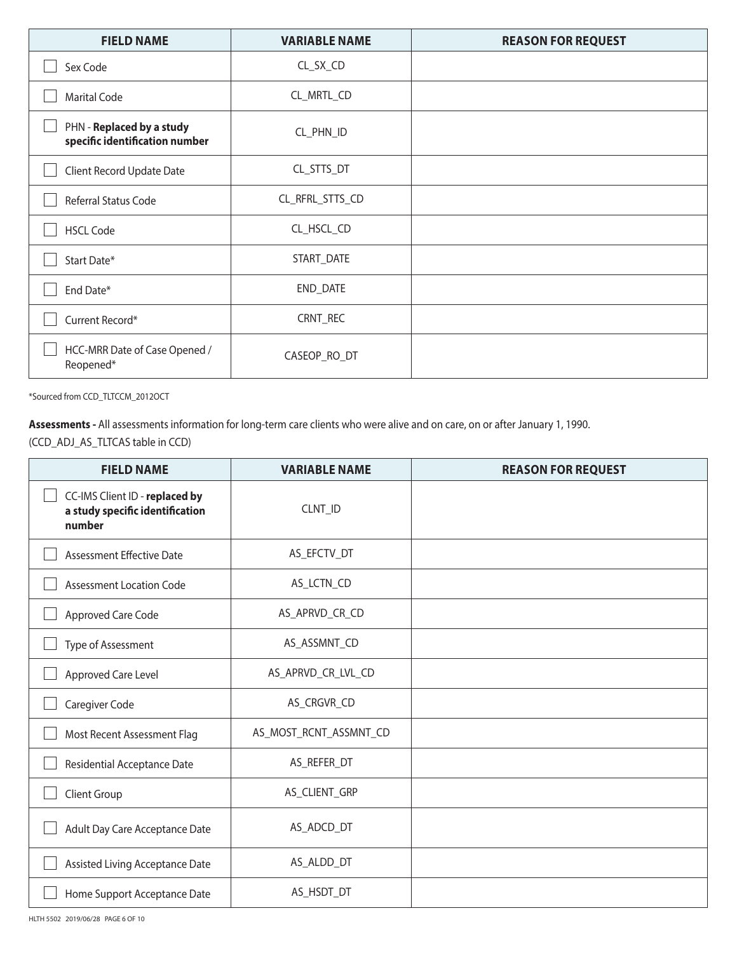| <b>FIELD NAME</b>                                           | <b>VARIABLE NAME</b> | <b>REASON FOR REQUEST</b> |
|-------------------------------------------------------------|----------------------|---------------------------|
| Sex Code                                                    | CL_SX_CD             |                           |
| <b>Marital Code</b>                                         | CL_MRTL_CD           |                           |
| PHN - Replaced by a study<br>specific identification number | CL_PHN_ID            |                           |
| Client Record Update Date                                   | CL_STTS_DT           |                           |
| Referral Status Code                                        | CL_RFRL_STTS_CD      |                           |
| <b>HSCL Code</b>                                            | CL_HSCL_CD           |                           |
| Start Date*                                                 | START_DATE           |                           |
| End Date*                                                   | END_DATE             |                           |
| Current Record*                                             | CRNT_REC             |                           |
| HCC-MRR Date of Case Opened /<br>Reopened*                  | CASEOP_RO_DT         |                           |

\*Sourced from CCD\_TLTCCM\_2012OCT

**Assessments -** All assessments information for long-term care clients who were alive and on care, on or after January 1, 1990. (CCD\_ADJ\_AS\_TLTCAS table in CCD)

| <b>FIELD NAME</b>                                                           | <b>VARIABLE NAME</b>   | <b>REASON FOR REQUEST</b> |
|-----------------------------------------------------------------------------|------------------------|---------------------------|
| CC-IMS Client ID - replaced by<br>a study specific identification<br>number | CLNT_ID                |                           |
| <b>Assessment Effective Date</b>                                            | AS_EFCTV_DT            |                           |
| <b>Assessment Location Code</b>                                             | AS_LCTN_CD             |                           |
| Approved Care Code                                                          | AS_APRVD_CR_CD         |                           |
| Type of Assessment                                                          | AS_ASSMNT_CD           |                           |
| Approved Care Level                                                         | AS_APRVD_CR_LVL_CD     |                           |
| Caregiver Code                                                              | AS_CRGVR_CD            |                           |
| Most Recent Assessment Flag                                                 | AS_MOST_RCNT_ASSMNT_CD |                           |
| Residential Acceptance Date                                                 | AS_REFER_DT            |                           |
| Client Group                                                                | AS_CLIENT_GRP          |                           |
| Adult Day Care Acceptance Date                                              | AS_ADCD_DT             |                           |
| Assisted Living Acceptance Date                                             | AS_ALDD_DT             |                           |
| Home Support Acceptance Date                                                | AS_HSDT_DT             |                           |

HLTH 5502 2019/06/28 PAGE 6 OF 10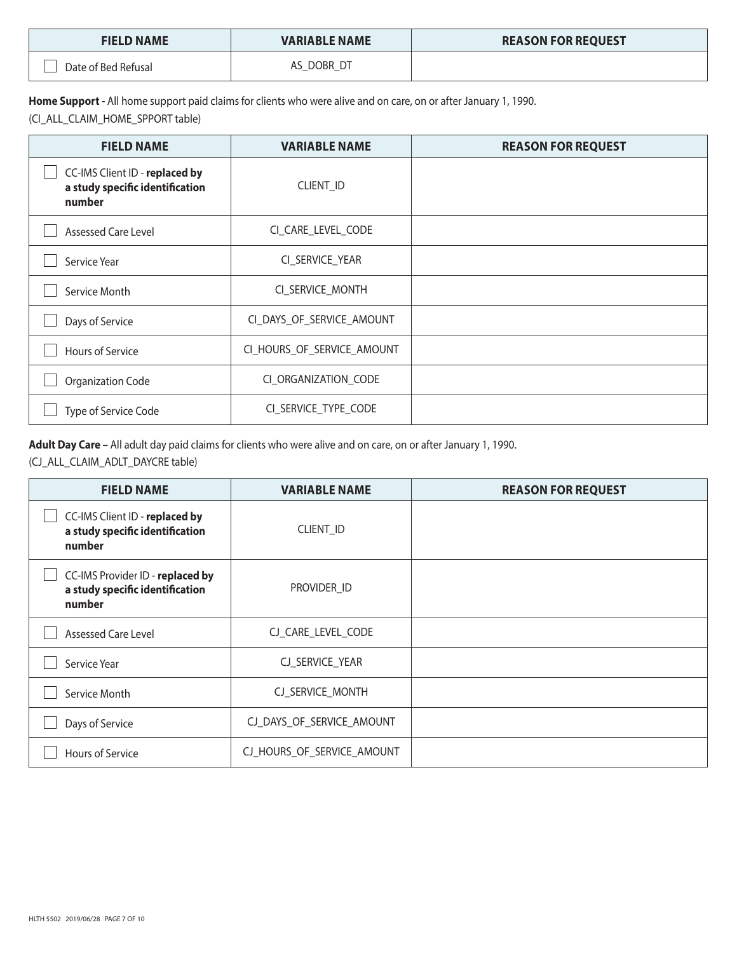| <b>FIELD NAME</b>   | <b>VARIABLE NAME</b> | <b>REASON FOR REQUEST</b> |
|---------------------|----------------------|---------------------------|
| Date of Bed Refusal | DOBR                 |                           |

**Home Support -** All home support paid claims for clients who were alive and on care, on or after January 1, 1990.

(CI\_ALL\_CLAIM\_HOME\_SPPORT table)

| <b>FIELD NAME</b>                                                           | <b>VARIABLE NAME</b>       | <b>REASON FOR REQUEST</b> |
|-----------------------------------------------------------------------------|----------------------------|---------------------------|
| CC-IMS Client ID - replaced by<br>a study specific identification<br>number | <b>CLIENT ID</b>           |                           |
| <b>Assessed Care Level</b>                                                  | CI_CARE_LEVEL_CODE         |                           |
| Service Year                                                                | CI_SERVICE_YEAR            |                           |
| Service Month                                                               | CI_SERVICE_MONTH           |                           |
| Days of Service                                                             | CI_DAYS_OF_SERVICE_AMOUNT  |                           |
| Hours of Service                                                            | CI_HOURS_OF_SERVICE_AMOUNT |                           |
| Organization Code                                                           | CI ORGANIZATION CODE       |                           |
| Type of Service Code                                                        | CI_SERVICE_TYPE_CODE       |                           |

**Adult Day Care –** All adult day paid claims for clients who were alive and on care, on or after January 1, 1990.

(CJ\_ALL\_CLAIM\_ADLT\_DAYCRE table)

| <b>FIELD NAME</b>                                                             | <b>VARIABLE NAME</b>       | <b>REASON FOR REQUEST</b> |
|-------------------------------------------------------------------------------|----------------------------|---------------------------|
| CC-IMS Client ID - replaced by<br>a study specific identification<br>number   | CLIENT_ID                  |                           |
| CC-IMS Provider ID - replaced by<br>a study specific identification<br>number | PROVIDER_ID                |                           |
| <b>Assessed Care Level</b>                                                    | CJ_CARE_LEVEL_CODE         |                           |
| Service Year                                                                  | CJ_SERVICE_YEAR            |                           |
| Service Month                                                                 | CJ_SERVICE_MONTH           |                           |
| Days of Service                                                               | CJ_DAYS_OF_SERVICE_AMOUNT  |                           |
| <b>Hours of Service</b>                                                       | CJ_HOURS_OF_SERVICE_AMOUNT |                           |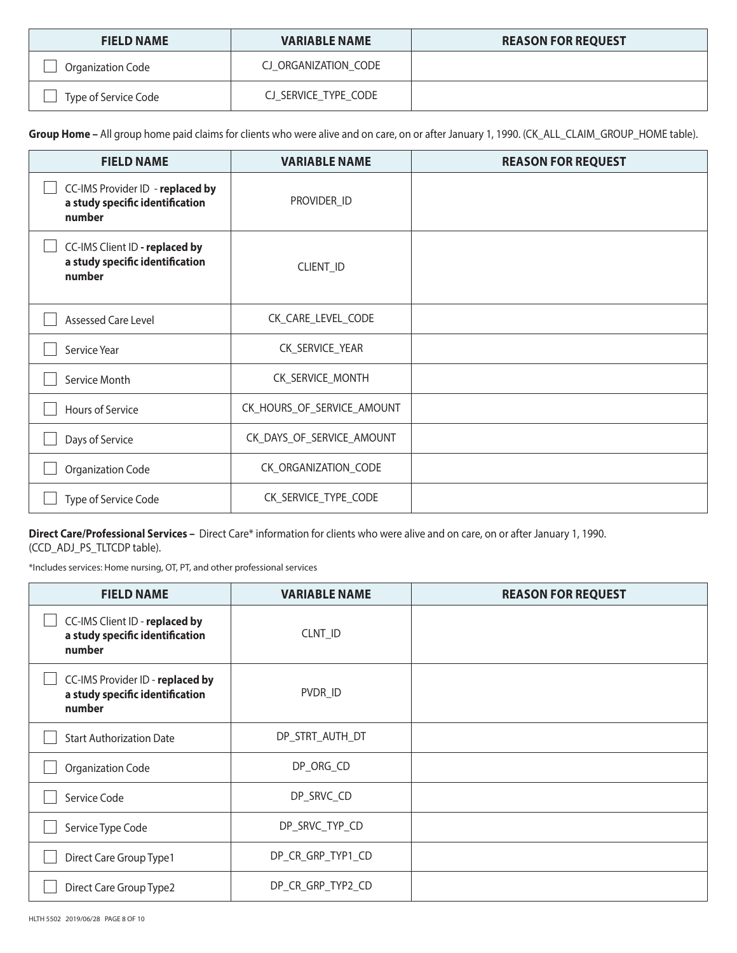| <b>FIELD NAME</b>    | <b>VARIABLE NAME</b> | <b>REASON FOR REQUEST</b> |
|----------------------|----------------------|---------------------------|
| Organization Code    | CJ ORGANIZATION CODE |                           |
| Type of Service Code | CJ_SERVICE_TYPE_CODE |                           |

Group Home - All group home paid claims for clients who were alive and on care, on or after January 1, 1990. (CK\_ALL\_CLAIM\_GROUP\_HOME table).

| <b>FIELD NAME</b>                                                             | <b>VARIABLE NAME</b>       | <b>REASON FOR REQUEST</b> |
|-------------------------------------------------------------------------------|----------------------------|---------------------------|
| CC-IMS Provider ID - replaced by<br>a study specific identification<br>number | PROVIDER_ID                |                           |
| CC-IMS Client ID - replaced by<br>a study specific identification<br>number   | CLIENT_ID                  |                           |
| Assessed Care Level                                                           | CK_CARE_LEVEL_CODE         |                           |
| Service Year                                                                  | CK_SERVICE_YEAR            |                           |
| Service Month                                                                 | CK_SERVICE_MONTH           |                           |
| Hours of Service                                                              | CK_HOURS_OF_SERVICE_AMOUNT |                           |
| Days of Service                                                               | CK_DAYS_OF_SERVICE_AMOUNT  |                           |
| Organization Code                                                             | CK_ORGANIZATION_CODE       |                           |
| Type of Service Code                                                          | CK_SERVICE_TYPE_CODE       |                           |

**Direct Care/Professional Services –** Direct Care\* information for clients who were alive and on care, on or after January 1, 1990.

(CCD\_ADJ\_PS\_TLTCDP table).

\*Includes services: Home nursing, OT, PT, and other professional services

| <b>FIELD NAME</b>                                                             | <b>VARIABLE NAME</b> | <b>REASON FOR REQUEST</b> |
|-------------------------------------------------------------------------------|----------------------|---------------------------|
| CC-IMS Client ID - replaced by<br>a study specific identification<br>number   | CLNT_ID              |                           |
| CC-IMS Provider ID - replaced by<br>a study specific identification<br>number | PVDR_ID              |                           |
| <b>Start Authorization Date</b>                                               | DP_STRT_AUTH_DT      |                           |
| Organization Code                                                             | DP_ORG_CD            |                           |
| Service Code                                                                  | DP_SRVC_CD           |                           |
| Service Type Code                                                             | DP_SRVC_TYP_CD       |                           |
| Direct Care Group Type1                                                       | DP_CR_GRP_TYP1_CD    |                           |
| Direct Care Group Type2                                                       | DP_CR_GRP_TYP2_CD    |                           |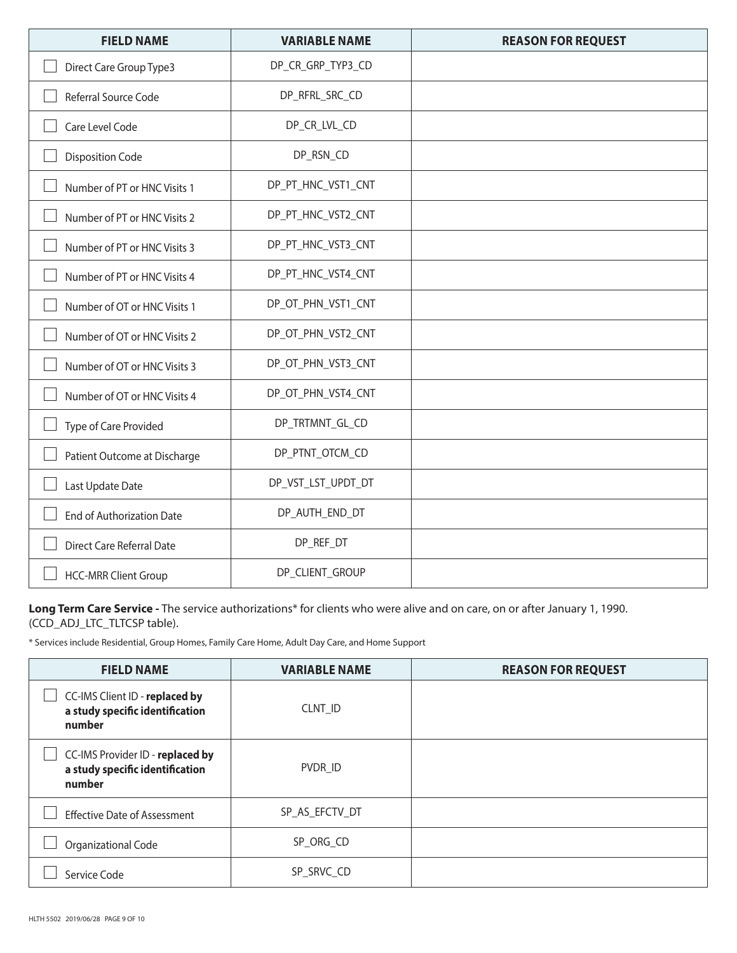| <b>FIELD NAME</b>            | <b>VARIABLE NAME</b> | <b>REASON FOR REQUEST</b> |
|------------------------------|----------------------|---------------------------|
| Direct Care Group Type3      | DP_CR_GRP_TYP3_CD    |                           |
| Referral Source Code         | DP_RFRL_SRC_CD       |                           |
| Care Level Code              | DP_CR_LVL_CD         |                           |
| <b>Disposition Code</b>      | DP_RSN_CD            |                           |
| Number of PT or HNC Visits 1 | DP_PT_HNC_VST1_CNT   |                           |
| Number of PT or HNC Visits 2 | DP_PT_HNC_VST2_CNT   |                           |
| Number of PT or HNC Visits 3 | DP_PT_HNC_VST3_CNT   |                           |
| Number of PT or HNC Visits 4 | DP_PT_HNC_VST4_CNT   |                           |
| Number of OT or HNC Visits 1 | DP_OT_PHN_VST1_CNT   |                           |
| Number of OT or HNC Visits 2 | DP_OT_PHN_VST2_CNT   |                           |
| Number of OT or HNC Visits 3 | DP_OT_PHN_VST3_CNT   |                           |
| Number of OT or HNC Visits 4 | DP_OT_PHN_VST4_CNT   |                           |
| Type of Care Provided        | DP_TRTMNT_GL_CD      |                           |
| Patient Outcome at Discharge | DP_PTNT_OTCM_CD      |                           |
| Last Update Date             | DP_VST_LST_UPDT_DT   |                           |
| End of Authorization Date    | DP_AUTH_END_DT       |                           |
| Direct Care Referral Date    | DP_REF_DT            |                           |
| <b>HCC-MRR Client Group</b>  | DP_CLIENT_GROUP      |                           |

**Long Term Care Service -** The service authorizations\* for clients who were alive and on care, on or after January 1, 1990. (CCD\_ADJ\_LTC\_TLTCSP table).

\* Services include Residential, Group Homes, Family Care Home, Adult Day Care, and Home Support

| <b>FIELD NAME</b>                                                             | <b>VARIABLE NAME</b> | <b>REASON FOR REQUEST</b> |
|-------------------------------------------------------------------------------|----------------------|---------------------------|
| CC-IMS Client ID - replaced by<br>a study specific identification<br>number   | CLNT ID              |                           |
| CC-IMS Provider ID - replaced by<br>a study specific identification<br>number | PVDR ID              |                           |
| <b>Effective Date of Assessment</b>                                           | SP AS EFCTV DT       |                           |
| Organizational Code                                                           | SP_ORG_CD            |                           |
| Service Code                                                                  | SP_SRVC_CD           |                           |